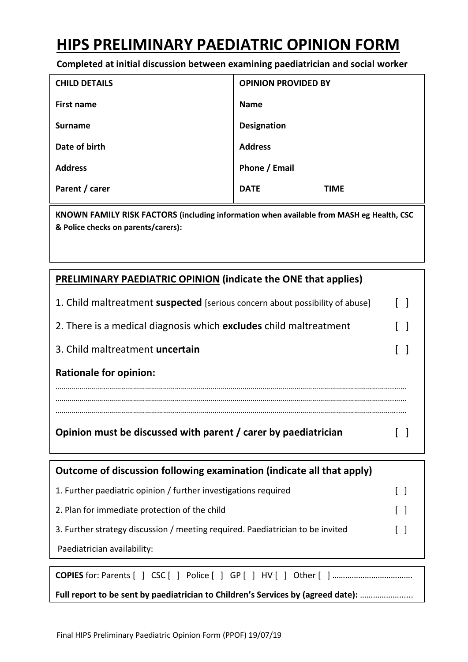## **HIPS PRELIMINARY PAEDIATRIC OPINION FORM**

**Completed at initial discussion between examining paediatrician and social worker**

| <b>CHILD DETAILS</b> | <b>OPINION PROVIDED BY</b> |
|----------------------|----------------------------|
| <b>First name</b>    | <b>Name</b>                |
| <b>Surname</b>       | <b>Designation</b>         |
| Date of birth        | <b>Address</b>             |
| <b>Address</b>       | Phone / Email              |
| Parent / carer       | <b>DATE</b><br><b>TIME</b> |

**KNOWN FAMILY RISK FACTORS (including information when available from MASH eg Health, CSC & Police checks on parents/carers):**

| <b>PRELIMINARY PAEDIATRIC OPINION (indicate the ONE that applies)</b> |  |
|-----------------------------------------------------------------------|--|
|-----------------------------------------------------------------------|--|

| 1. Child maltreatment suspected [serious concern about possibility of abuse] |  |
|------------------------------------------------------------------------------|--|
| 2. There is a medical diagnosis which <b>excludes</b> child maltreatment     |  |
| 3. Child maltreatment uncertain                                              |  |
| <b>Rationale for opinion:</b>                                                |  |
|                                                                              |  |
| Opinion must be discussed with parent / carer by paediatrician               |  |

| Outcome of discussion following examination (indicate all that apply)            |  |  |  |
|----------------------------------------------------------------------------------|--|--|--|
| 1. Further paediatric opinion / further investigations required                  |  |  |  |
| 2. Plan for immediate protection of the child                                    |  |  |  |
| 3. Further strategy discussion / meeting required. Paediatrician to be invited   |  |  |  |
| Paediatrician availability:                                                      |  |  |  |
|                                                                                  |  |  |  |
|                                                                                  |  |  |  |
| Full report to be sent by paediatrician to Children's Services by (agreed date): |  |  |  |